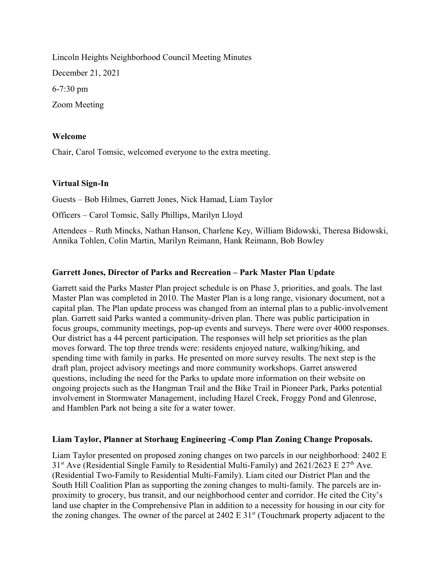Lincoln Heights Neighborhood Council Meeting Minutes December 21, 2021 6-7:30 pm Zoom Meeting

## Welcome

Chair, Carol Tomsic, welcomed everyone to the extra meeting.

### Virtual Sign-In

Guests – Bob Hilmes, Garrett Jones, Nick Hamad, Liam Taylor

Officers – Carol Tomsic, Sally Phillips, Marilyn Lloyd

Attendees – Ruth Mincks, Nathan Hanson, Charlene Key, William Bidowski, Theresa Bidowski, Annika Tohlen, Colin Martin, Marilyn Reimann, Hank Reimann, Bob Bowley

### Garrett Jones, Director of Parks and Recreation – Park Master Plan Update

Garrett said the Parks Master Plan project schedule is on Phase 3, priorities, and goals. The last Master Plan was completed in 2010. The Master Plan is a long range, visionary document, not a capital plan. The Plan update process was changed from an internal plan to a public-involvement plan. Garrett said Parks wanted a community-driven plan. There was public participation in focus groups, community meetings, pop-up events and surveys. There were over 4000 responses. Our district has a 44 percent participation. The responses will help set priorities as the plan moves forward. The top three trends were: residents enjoyed nature, walking/hiking, and spending time with family in parks. He presented on more survey results. The next step is the draft plan, project advisory meetings and more community workshops. Garret answered questions, including the need for the Parks to update more information on their website on ongoing projects such as the Hangman Trail and the Bike Trail in Pioneer Park, Parks potential involvement in Stormwater Management, including Hazel Creek, Froggy Pond and Glenrose, and Hamblen Park not being a site for a water tower.

#### Liam Taylor, Planner at Storhaug Engineering -Comp Plan Zoning Change Proposals.

Liam Taylor presented on proposed zoning changes on two parcels in our neighborhood: 2402 E  $31<sup>st</sup>$  Ave (Residential Single Family to Residential Multi-Family) and 2621/2623 E 27<sup>th</sup> Ave. (Residential Two-Family to Residential Multi-Family). Liam cited our District Plan and the South Hill Coalition Plan as supporting the zoning changes to multi-family. The parcels are inproximity to grocery, bus transit, and our neighborhood center and corridor. He cited the City's land use chapter in the Comprehensive Plan in addition to a necessity for housing in our city for the zoning changes. The owner of the parcel at  $2402 \text{ E } 31$ <sup>st</sup> (Touchmark property adjacent to the